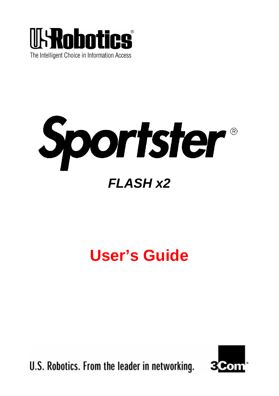



# **User's Guide**

U.S. Robotics. From the leader in networking.

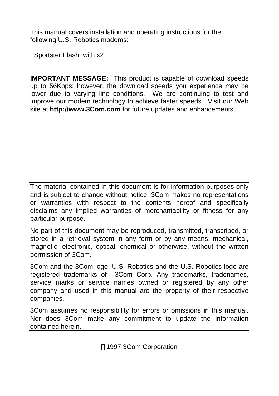This manual covers installation and operating instructions for the following U.S. Robotics modems:

· Sportster Flash with x2

**IMPORTANT MESSAGE:** This product is capable of download speeds up to 56Kbps; however, the download speeds you experience may be lower due to varying line conditions. We are continuing to test and improve our modem technology to achieve faster speeds. Visit our Web site at **http://www.3Com.com** for future updates and enhancements.

The material contained in this document is for information purposes only and is subject to change without notice. 3Com makes no representations or warranties with respect to the contents hereof and specifically disclaims any implied warranties of merchantability or fitness for any particular purpose.

No part of this document may be reproduced, transmitted, transcribed, or stored in a retrieval system in any form or by any means, mechanical, magnetic, electronic, optical, chemical or otherwise, without the written permission of 3Com.

3Com and the 3Com logo, U.S. Robotics and the U.S. Robotics logo are registered trademarks of 3Com Corp. Any trademarks, tradenames, service marks or service names owned or registered by any other company and used in this manual are the property of their respective companies.

3Com assumes no responsibility for errors or omissions in this manual. Nor does 3Com make any commitment to update the information contained herein.

1997 3Com Corporation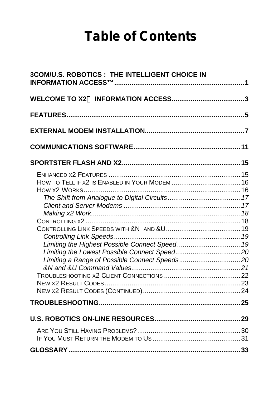# **Table of Contents**

| 3COM/U.S. ROBOTICS : THE INTELLIGENT CHOICE IN |  |
|------------------------------------------------|--|
|                                                |  |
|                                                |  |
|                                                |  |
|                                                |  |
|                                                |  |
| HOW TO TELL IF X2 IS ENABLED IN YOUR MODEM  16 |  |
|                                                |  |
|                                                |  |
|                                                |  |
|                                                |  |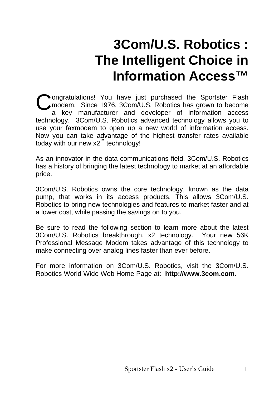# **3Com/U.S. Robotics : The Intelligent Choice in Information Access™**

<span id="page-4-0"></span>**Ongratulations!** You have just purchased the Sportster Flash modem. Since 1976, 3Com/U.S. Robotics has grown to become a key manufacturer and developer of information access technology. 3Com/U.S. Robotics advanced technology allows you to use your faxmodem to open up a new world of information access. Now you can take advantage of the highest transfer rates available today with our new x2<sup>™</sup> technology! C

As an innovator in the data communications field, 3Com/U.S. Robotics has a history of bringing the latest technology to market at an affordable price.

3Com/U.S. Robotics owns the core technology, known as the data pump, that works in its access products. This allows 3Com/U.S. Robotics to bring new technologies and features to market faster and at a lower cost, while passing the savings on to you.

Be sure to read the following section to learn more about the latest 3Com/U.S. Robotics breakthrough, x2 technology. Your new 56K Professional Message Modem takes advantage of this technology to make connecting over analog lines faster than ever before.

For more information on 3Com/U.S. Robotics, visit the 3Com/U.S. Robotics World Wide Web Home Page at: **http://www.3com.com**.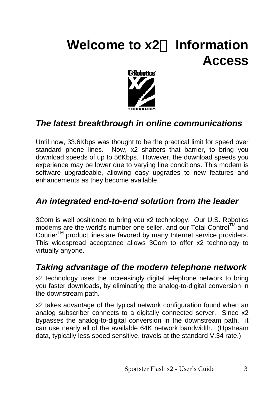# <span id="page-6-0"></span>Welcome to **x2<sup>TM</sup>** Information **Access**



## *The latest breakthrough in online communications*

Until now, 33.6Kbps was thought to be the practical limit for speed over standard phone lines. Now, x2 shatters that barrier, to bring you download speeds of up to 56Kbps. However, the download speeds you experience may be lower due to varying line conditions. This modem is software upgradeable, allowing easy upgrades to new features and enhancements as they become available.

### *An integrated end-to-end solution from the leader*

3Com is well positioned to bring you x2 technology. Our U.S. Robotics modems are the world's number one seller, and our Total Control™ and Courier<sup>™</sup> product lines are favored by many Internet service providers. This widespread acceptance allows 3Com to offer x2 technology to virtually anyone.

### *Taking advantage of the modern telephone network*

x2 technology uses the increasingly digital telephone network to bring you faster downloads, by eliminating the analog-to-digital conversion in the downstream path.

x2 takes advantage of the typical network configuration found when an analog subscriber connects to a digitally connected server. Since x2 bypasses the analog-to-digital conversion in the downstream path, it can use nearly all of the available 64K network bandwidth. (Upstream data, typically less speed sensitive, travels at the standard V.34 rate.)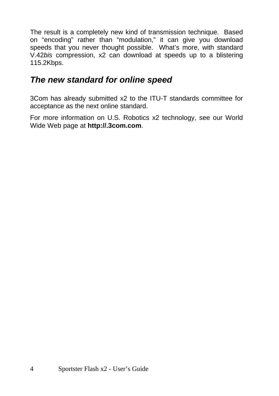The result is a completely new kind of transmission technique. Based on "encoding" rather than "modulation," it can give you download speeds that you never thought possible. What's more, with standard V.42*bis* compression, x2 can download at speeds up to a blistering 115.2Kbps.

## *The new standard for online speed*

3Com has already submitted x2 to the ITU-T standards committee for acceptance as the next online standard.

For more information on U.S. Robotics x2 technology, see our World Wide Web page at **http://.3com.com**.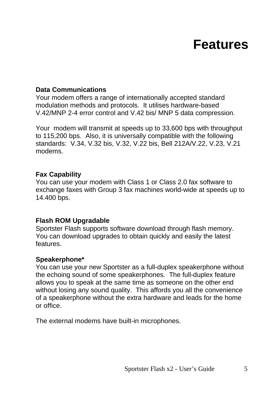# **Features**

#### <span id="page-8-0"></span>**Data Communications**

Your modem offers a range of internationally accepted standard modulation methods and protocols. It utilises hardware-based V.42/MNP 2-4 error control and V.42 bis/ MNP 5 data compression.

Your modem will transmit at speeds up to 33,600 bps with throughput to 115,200 bps. Also, it is universally compatible with the following standards: V.34, V.32 bis, V.32, V.22 bis, Bell 212A/V.22, V.23, V.21 modems.

#### **Fax Capability**

You can use your modem with Class 1 or Class 2.0 fax software to exchange faxes with Group 3 fax machines world-wide at speeds up to 14.400 bps.

#### **Flash ROM Upgradable**

Sportster Flash supports software download through flash memory. You can download upgrades to obtain quickly and easily the latest features.

#### **Speakerphone\***

You can use your new Sportster as a full-duplex speakerphone without the echoing sound of some speakerphones. The full-duplex feature allows you to speak at the same time as someone on the other end without losing any sound quality. This affords you all the convenience of a speakerphone without the extra hardware and leads for the home or office.

The external modems have built-in microphones.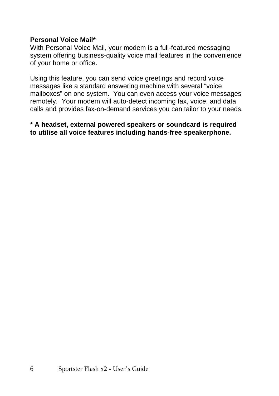#### **Personal Voice Mail\***

With Personal Voice Mail, your modem is a full-featured messaging system offering business-quality voice mail features in the convenience of your home or office.

Using this feature, you can send voice greetings and record voice messages like a standard answering machine with several "voice mailboxes" on one system. You can even access your voice messages remotely. Your modem will auto-detect incoming fax, voice, and data calls and provides fax-on-demand services you can tailor to your needs.

**\* A headset, external powered speakers or soundcard is required to utilise all voice features including hands-free speakerphone.**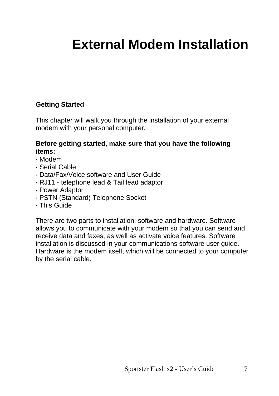# <span id="page-10-0"></span>**External Modem Installation**

#### **Getting Started**

This chapter will walk you through the installation of your external modem with your personal computer.

#### **Before getting started, make sure that you have the following items:**

- · Modem
- · Serial Cable
- · Data/Fax/Voice software and User Guide
- · RJ11 telephone lead & Tail lead adaptor
- · Power Adaptor
- · PSTN (Standard) Telephone Socket
- · This Guide

There are two parts to installation: software and hardware. Software allows you to communicate with your modem so that you can send and receive data and faxes, as well as activate voice features. Software installation is discussed in your communications software user guide. Hardware is the modem itself, which will be connected to your computer by the serial cable.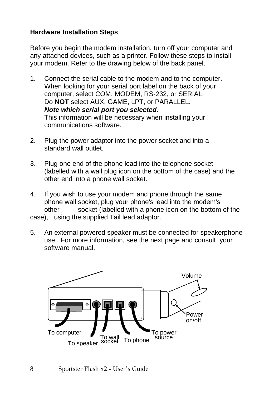#### **Hardware Installation Steps**

Before you begin the modem installation, turn off your computer and any attached devices, such as a printer. Follow these steps to install your modem. Refer to the drawing below of the back panel.

- 1. Connect the serial cable to the modem and to the computer. When looking for your serial port label on the back of your computer, select COM, MODEM, RS-232, or SERIAL. Do **NOT** select AUX, GAME, LPT, or PARALLEL. *Note which serial port you selected.* This information will be necessary when installing your communications software.
- 2. Plug the power adaptor into the power socket and into a standard wall outlet.
- 3. Plug one end of the phone lead into the telephone socket (labelled with a wall plug icon on the bottom of the case) and the other end into a phone wall socket.
- 4. If you wish to use your modem and phone through the same phone wall socket, plug your phone's lead into the modem's other socket (labelled with a phone icon on the bottom of the case), using the supplied Tail lead adaptor.
- 5. An external powered speaker must be connected for speakerphone use. For more information, see the next page and consult your software manual.

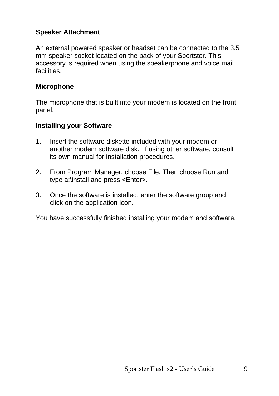#### **Speaker Attachment**

An external powered speaker or headset can be connected to the 3.5 mm speaker socket located on the back of your Sportster. This accessory is required when using the speakerphone and voice mail facilities.

#### **Microphone**

The microphone that is built into your modem is located on the front panel.

#### **Installing your Software**

- 1. Insert the software diskette included with your modem or another modem software disk. If using other software, consult its own manual for installation procedures.
- 2. From Program Manager, choose File. Then choose Run and type a:\install and press <Enter>.
- 3. Once the software is installed, enter the software group and click on the application icon.

You have successfully finished installing your modem and software.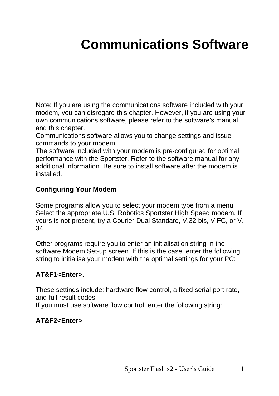# <span id="page-14-0"></span>**Communications Software**

Note: If you are using the communications software included with your modem, you can disregard this chapter. However, if you are using your own communications software, please refer to the software's manual and this chapter.

Communications software allows you to change settings and issue commands to your modem.

The software included with your modem is pre-configured for optimal performance with the Sportster. Refer to the software manual for any additional information. Be sure to install software after the modem is installed.

#### **Configuring Your Modem**

Some programs allow you to select your modem type from a menu. Select the appropriate U.S. Robotics Sportster High Speed modem. If yours is not present, try a Courier Dual Standard, V.32 bis, V.FC, or V. 34.

Other programs require you to enter an initialisation string in the software Modem Set-up screen. If this is the case, enter the following string to initialise your modem with the optimal settings for your PC:

#### **AT&F1<Enter>.**

These settings include: hardware flow control, a fixed serial port rate, and full result codes.

If you must use software flow control, enter the following string:

#### **AT&F2<Enter>**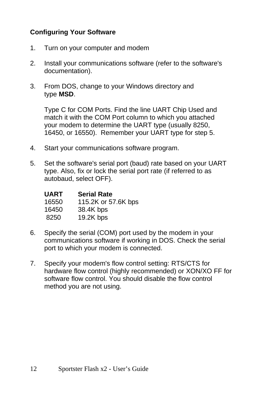#### **Configuring Your Software**

- 1. Turn on your computer and modem
- 2. Install your communications software (refer to the software's documentation).
- 3. From DOS, change to your Windows directory and type **MSD**.

Type C for COM Ports. Find the line UART Chip Used and match it with the COM Port column to which you attached your modem to determine the UART type (usually 8250, 16450, or 16550). Remember your UART type for step 5.

- 4. Start your communications software program.
- 5. Set the software's serial port (baud) rate based on your UART type. Also, fix or lock the serial port rate (if referred to as autobaud, select OFF).

| UART  | <b>Serial Rate</b>  |
|-------|---------------------|
| 16550 | 115.2K or 57.6K bps |
| 16450 | 38.4K bps           |
| 8250  | 19.2K bps           |

- 6. Specify the serial (COM) port used by the modem in your communications software if working in DOS. Check the serial port to which your modem is connected.
- 7. Specify your modem's flow control setting: RTS/CTS for hardware flow control (highly recommended) or XON/XO FF for software flow control. You should disable the flow control method you are not using.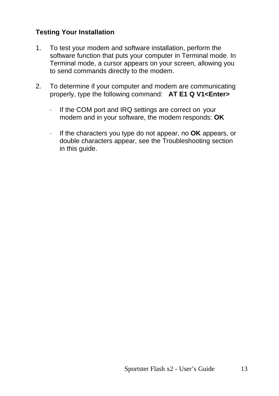#### **Testing Your Installation**

- 1. To test your modem and software installation, perform the software function that puts your computer in Terminal mode. In Terminal mode, a cursor appears on your screen, allowing you to send commands directly to the modem.
- 2. To determine if your computer and modem are communicating properly, type the following command: **AT E1 Q V1<Enter>**
	- · If the COM port and IRQ settings are correct on your modem and in your software, the modem responds: **OK**
	- · If the characters you type do not appear, no **OK** appears, or double characters appear, see the Troubleshooting section in this guide.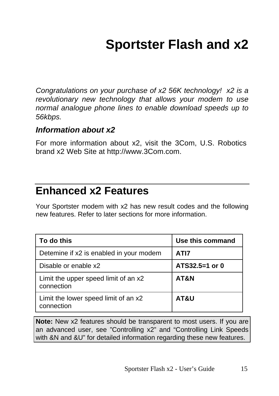# **Sportster Flash and x2**

<span id="page-18-0"></span>*Congratulations on your purchase of x2 56K technology! x2 is a revolutionary new technology that allows your modem to use normal analogue phone lines to enable download speeds up to 56kbps.*

#### *Information about x2*

For more information about x2, visit the 3Com, U.S. Robotics brand x2 Web Site at http://www.3Com.com.

# **Enhanced x2 Features**

Your Sportster modem with x2 has new result codes and the following new features. Refer to later sections for more information.

| To do this                                         | Use this command |
|----------------------------------------------------|------------------|
| Detemine if x2 is enabled in your modem            | ATI7             |
| Disable or enable x2                               | ATS32.5=1 or 0   |
| Limit the upper speed limit of an x2<br>connection | AT&N             |
| Limit the lower speed limit of an x2<br>connection | AT&U             |

**Note:** New x2 features should be transparent to most users. If you are an advanced user, see "Controlling x2" and "Controlling Link Speeds with &N and &U" for detailed information regarding these new features.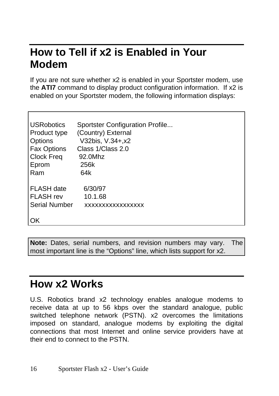# <span id="page-19-0"></span>**How to Tell if x2 is Enabled in Your Modem**

If you are not sure whether x2 is enabled in your Sportster modem, use the **ATI7** command to display product configuration information. If x2 is enabled on your Sportster modem, the following information displays:

| IUSRobotics        | Sportster Configuration Profile |
|--------------------|---------------------------------|
| Product type       | (Country) External              |
| <b>Options</b>     | V32bis, V.34+, x2               |
| <b>Fax Options</b> | Class 1/Class 2.0               |
| <b>Clock Freq</b>  | 92.0Mhz                         |
| Eprom              | 256k                            |
| Ram                | 64k                             |
| <b>FLASH</b> date  | 6/30/97                         |
| l FLASH rev        | 10.1.68                         |
| Serial Number      | XXXXXXXXXXXXXXXX                |
| ιoκ                |                                 |

**Note:** Dates, serial numbers, and revision numbers may vary. The most important line is the "Options" line, which lists support for x2.

# **How x2 Works**

Г

U.S. Robotics brand x2 technology enables analogue modems to receive data at up to 56 kbps over the standard analogue, public switched telephone network (PSTN). x2 overcomes the limitations imposed on standard, analogue modems by exploiting the digital connections that most Internet and online service providers have at their end to connect to the PSTN.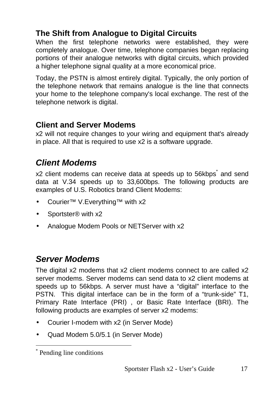## <span id="page-20-0"></span>**The Shift from Analogue to Digital Circuits**

When the first telephone networks were established, they were completely analogue. Over time, telephone companies began replacing portions of their analogue networks with digital circuits, which provided a higher telephone signal quality at a more economical price.

Today, the PSTN is almost entirely digital. Typically, the only portion of the telephone network that remains analogue is the line that connects your home to the telephone company's local exchange. The rest of the telephone network is digital.

### **Client and Server Modems**

x2 will not require changes to your wiring and equipment that's already in place. All that is required to use x2 is a software upgrade.

## *Client Modems*

x2 client modems can receive data at speeds up to 56kbps<sup>\*</sup> and send data at V.34 speeds up to 33,600bps. The following products are examples of U.S. Robotics brand Client Modems:

- Courier™ V.Everything™ with x2
- Sportster<sup>®</sup> with x2
- Analogue Modem Pools or NETServer with x2

## *Server Modems*

The digital x2 modems that x2 client modems connect to are called x2 server modems. Server modems can send data to x2 client modems at speeds up to 56kbps. A server must have a "digital" interface to the PSTN. This digital interface can be in the form of a "trunk-side" T1, Primary Rate Interface (PRI) , or Basic Rate Interface (BRI). The following products are examples of server x2 modems:

- Courier I-modem with x2 (in Server Mode)
- Quad Modem 5.0/5.1 (in Server Mode)

-

<sup>\*</sup> Pending line conditions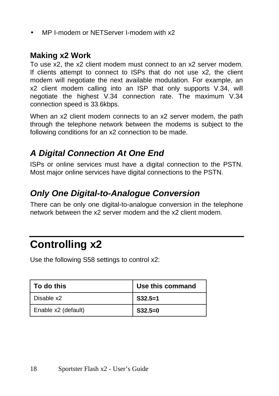<span id="page-21-0"></span>• MP I-modem or NETServer I-modem with x2

### **Making x2 Work**

To use x2, the x2 client modem must connect to an x2 server modem. If clients attempt to connect to ISPs that do not use x2, the client modem will negotiate the next available modulation. For example, an x2 client modem calling into an ISP that only supports V.34, will negotiate the highest V.34 connection rate. The maximum V.34 connection speed is 33.6kbps.

When an x2 client modem connects to an x2 server modem, the path through the telephone network between the modems is subject to the following conditions for an x2 connection to be made.

# *A Digital Connection At One End*

ISPs or online services must have a digital connection to the PSTN. Most major online services have digital connections to the PSTN.

# *Only One Digital-to-Analogue Conversion*

There can be only one digital-to-analogue conversion in the telephone network between the x2 server modem and the x2 client modem.

# **Controlling x2**

Use the following S58 settings to control x2:

| ∣ To do this        | Use this command |  |  |
|---------------------|------------------|--|--|
| Disable x2          | $S32.5=1$        |  |  |
| Enable x2 (default) | $S32.5=0$        |  |  |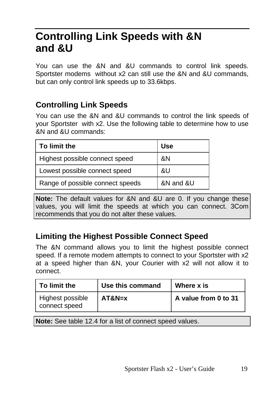# <span id="page-22-0"></span>**Controlling Link Speeds with &N and &U**

You can use the &N and &U commands to control link speeds. Sportster modems without x2 can still use the &N and &U commands, but can only control link speeds up to 33.6kbps.

## **Controlling Link Speeds**

You can use the &N and &U commands to control the link speeds of your Sportster with x2. Use the following table to determine how to use &N and &U commands:

| To limit the                     | Use       |
|----------------------------------|-----------|
| Highest possible connect speed   | &N        |
| Lowest possible connect speed    | &U        |
| Range of possible connect speeds | &N and &U |

**Note:** The default values for &N and &U are 0. If you change these values, you will limit the speeds at which you can connect. 3Com recommends that you do not alter these values.

## **Limiting the Highest Possible Connect Speed**

The &N command allows you to limit the highest possible connect speed. If a remote modem attempts to connect to your Sportster with x2 at a speed higher than &N, your Courier with x2 will not allow it to connect.

| To limit the                      | Use this command | Where x is           |
|-----------------------------------|------------------|----------------------|
| Highest possible<br>connect speed | $AT&N=x$         | A value from 0 to 31 |

**Note:** See table 12.4 for a list of connect speed values.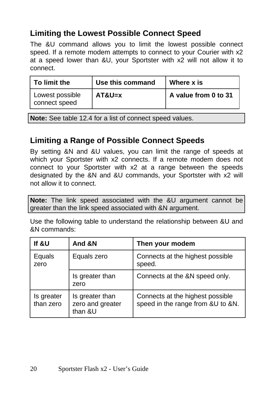## <span id="page-23-0"></span>**Limiting the Lowest Possible Connect Speed**

The &U command allows you to limit the lowest possible connect speed. If a remote modem attempts to connect to your Courier with x2 at a speed lower than &U, your Sportster with x2 will not allow it to connect.

| To limit the                     | Use this command | Where x is           |
|----------------------------------|------------------|----------------------|
| Lowest possible<br>connect speed | $AT&U=x$         | A value from 0 to 31 |

**Note:** See table 12.4 for a list of connect speed values.

### **Limiting a Range of Possible Connect Speeds**

By setting &N and &U values, you can limit the range of speeds at which your Sportster with x2 connects. If a remote modem does not connect to your Sportster with x2 at a range between the speeds designated by the &N and &U commands, your Sportster with x2 will not allow it to connect.

**Note:** The link speed associated with the &U argument cannot be greater than the link speed associated with &N argument.

Use the following table to understand the relationship between &U and &N commands:

| lf &U                   | And &N                                         | Then your modem                                                       |
|-------------------------|------------------------------------------------|-----------------------------------------------------------------------|
| Equals<br>zero          | Equals zero                                    | Connects at the highest possible<br>speed.                            |
|                         | Is greater than<br>zero                        | Connects at the &N speed only.                                        |
| Is greater<br>than zero | Is greater than<br>zero and greater<br>than &U | Connects at the highest possible<br>speed in the range from &U to &N. |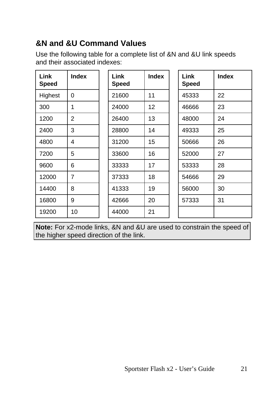# <span id="page-24-0"></span>**&N and &U Command Values**

Use the following table for a complete list of &N and &U link speeds and their associated indexes:

| <b>Link</b><br>Speed | <b>Index</b>   | Link<br>Speed | <b>Index</b> | Link<br><b>Speed</b> | <b>Index</b> |
|----------------------|----------------|---------------|--------------|----------------------|--------------|
| Highest              | $\Omega$       | 21600         | 11           | 45333                | 22           |
| 300                  | 1              | 24000         | 12           | 46666                | 23           |
| 1200                 | $\overline{2}$ | 26400         | 13           | 48000                | 24           |
| 2400                 | 3              | 28800         | 14           | 49333                | 25           |
| 4800                 | 4              | 31200         | 15           | 50666                | 26           |
| 7200                 | 5              | 33600         | 16           | 52000                | 27           |
| 9600                 | 6              | 33333         | 17           | 53333                | 28           |
| 12000                | 7              | 37333         | 18           | 54666                | 29           |
| 14400                | 8              | 41333         | 19           | 56000                | 30           |
| 16800                | 9              | 42666         | 20           | 57333                | 31           |
| 19200                | 10             | 44000         | 21           |                      |              |

**Note:** For x2-mode links, &N and &U are used to constrain the speed of the higher speed direction of the link.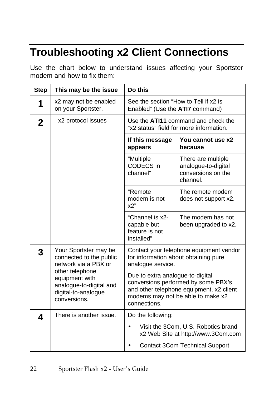# <span id="page-25-0"></span>**Troubleshooting x2 Client Connections**

Use the chart below to understand issues affecting your Sportster modem and how to fix them:

| <b>Step</b> | This may be the issue                                                                               | Do this                                                                                                                                                                  |                                                                             |  |
|-------------|-----------------------------------------------------------------------------------------------------|--------------------------------------------------------------------------------------------------------------------------------------------------------------------------|-----------------------------------------------------------------------------|--|
| 1           | x2 may not be enabled<br>on your Sportster.                                                         | See the section "How to Tell if x2 is<br>Enabled" (Use the ATI7 command)                                                                                                 |                                                                             |  |
| $\mathbf 2$ | x2 protocol issues                                                                                  | Use the ATI11 command and check the<br>"x2 status" field for more information.                                                                                           |                                                                             |  |
|             |                                                                                                     | If this message<br>appears                                                                                                                                               | You cannot use x2<br>because                                                |  |
|             |                                                                                                     | "Multiple<br>CODECS in<br>channel"                                                                                                                                       | There are multiple<br>analogue-to-digital<br>conversions on the<br>channel. |  |
|             |                                                                                                     | "Remote<br>modem is not<br>x2"                                                                                                                                           | The remote modem<br>does not support x2.                                    |  |
|             |                                                                                                     | "Channel is x2-<br>capable but<br>feature is not<br>installed"                                                                                                           | The modem has not<br>been upgraded to x2.                                   |  |
| 3           | Your Sportster may be<br>connected to the public<br>network via a PBX or                            | for information about obtaining pure<br>analogue service.                                                                                                                | Contact your telephone equipment vendor                                     |  |
|             | other telephone<br>equipment with<br>analogue-to-digital and<br>digital-to-analogue<br>conversions. | Due to extra analogue-to-digital<br>conversions performed by some PBX's<br>and other telephone equipment, x2 client<br>modems may not be able to make x2<br>connections. |                                                                             |  |
| 4           | There is another issue.                                                                             | Do the following:                                                                                                                                                        |                                                                             |  |
|             |                                                                                                     | Visit the 3Com, U.S. Robotics brand<br>x2 Web Site at http://www.3Com.com                                                                                                |                                                                             |  |
|             |                                                                                                     | <b>Contact 3Com Technical Support</b>                                                                                                                                    |                                                                             |  |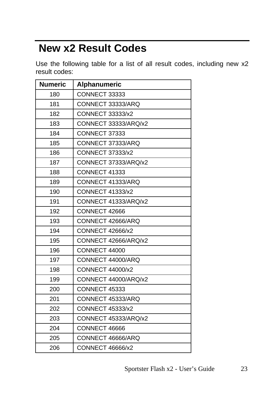# <span id="page-26-0"></span> **New x2 Result Codes**

Use the following table for a list of all result codes, including new x2 result codes:

| <b>Numeric</b> | Alphanumeric            |
|----------------|-------------------------|
| 180            | CONNECT 33333           |
| 181            | CONNECT 33333/ARQ       |
| 182            | CONNECT 33333/x2        |
| 183            | CONNECT 33333/ARQ/x2    |
| 184            | CONNECT 37333           |
| 185            | CONNECT 37333/ARQ       |
| 186            | <b>CONNECT 37333/x2</b> |
| 187            | CONNECT 37333/ARQ/x2    |
| 188            | CONNECT 41333           |
| 189            | CONNECT 41333/ARQ       |
| 190            | <b>CONNECT 41333/x2</b> |
| 191            | CONNECT 41333/ARQ/x2    |
| 192            | CONNECT 42666           |
| 193            | CONNECT 42666/ARQ       |
| 194            | CONNECT 42666/x2        |
| 195            | CONNECT 42666/ARQ/x2    |
| 196            | CONNECT 44000           |
| 197            | CONNECT 44000/ARQ       |
| 198            | <b>CONNECT 44000/x2</b> |
| 199            | CONNECT 44000/ARQ/x2    |
| 200            | CONNECT 45333           |
| 201            | CONNECT 45333/ARQ       |
| 202            | <b>CONNECT 45333/x2</b> |
| 203            | CONNECT 45333/ARQ/x2    |
| 204            | CONNECT 46666           |
| 205            | CONNECT 46666/ARQ       |
| 206            | <b>CONNECT 46666/x2</b> |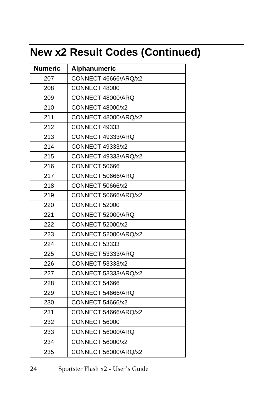# <span id="page-27-0"></span>**New x2 Result Codes (Continued)**

| <b>Numeric</b> | Alphanumeric            |
|----------------|-------------------------|
| 207            | CONNECT 46666/ARQ/x2    |
| 208            | CONNECT 48000           |
| 209            | CONNECT 48000/ARQ       |
| 210            | <b>CONNECT 48000/x2</b> |
| 211            | CONNECT 48000/ARQ/x2    |
| 212            | <b>CONNECT 49333</b>    |
| 213            | CONNECT 49333/ARQ       |
| 214            | <b>CONNECT 49333/x2</b> |
| 215            | CONNECT 49333/ARQ/x2    |
| 216            | <b>CONNECT 50666</b>    |
| 217            | CONNECT 50666/ARQ       |
| 218            | <b>CONNECT 50666/x2</b> |
| 219            | CONNECT 50666/ARQ/x2    |
| 220            | <b>CONNECT 52000</b>    |
| 221            | CONNECT 52000/ARQ       |
| 222            | <b>CONNECT 52000/x2</b> |
| 223            | CONNECT 52000/ARQ/x2    |
| 224            | <b>CONNECT 53333</b>    |
| 225            | CONNECT 53333/ARQ       |
| 226            | CONNECT 53333/x2        |
| 227            | CONNECT 53333/ARQ/x2    |
| 228            | CONNECT 54666           |
| 229            | CONNECT 54666/ARQ       |
| 230            | <b>CONNECT 54666/x2</b> |
| 231            | CONNECT 54666/ARQ/x2    |
| 232            | CONNECT 56000           |
| 233            | CONNECT 56000/ARQ       |
| 234            | CONNECT 56000/x2        |
| 235            | CONNECT 56000/ARQ/x2    |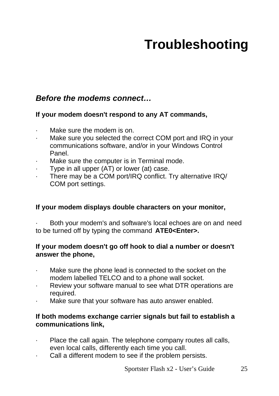# **Troubleshooting**

### <span id="page-28-0"></span>*Before the modems connect…*

#### **If your modem doesn't respond to any AT commands,**

- Make sure the modem is on.
- Make sure you selected the correct COM port and IRQ in your communications software, and/or in your Windows Control Panel.
- Make sure the computer is in Terminal mode.
- Type in all upper (AT) or lower (at) case.
- There may be a COM port/IRQ conflict. Try alternative IRQ/ COM port settings.

#### **If your modem displays double characters on your monitor,**

Both your modem's and software's local echoes are on and need to be turned off by typing the command **ATE0<Enter>.**

#### **If your modem doesn't go off hook to dial a number or doesn't answer the phone,**

- Make sure the phone lead is connected to the socket on the modem labelled TELCO and to a phone wall socket.
- Review your software manual to see what DTR operations are required.
- Make sure that your software has auto answer enabled.

#### **If both modems exchange carrier signals but fail to establish a communications link,**

- Place the call again. The telephone company routes all calls, even local calls, differently each time you call.
- Call a different modem to see if the problem persists.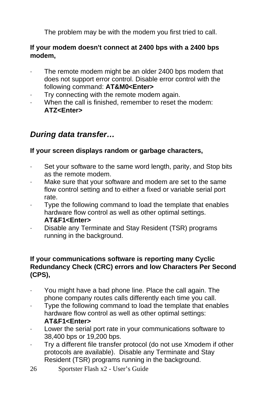The problem may be with the modem you first tried to call.

#### **If your modem doesn't connect at 2400 bps with a 2400 bps modem,**

- The remote modem might be an older 2400 bps modem that does not support error control. Disable error control with the following command: **AT&M0<Enter>**
- · Try connecting with the remote modem again.
- When the call is finished, remember to reset the modem: **ATZ<Enter>**

### *During data transfer…*

#### **If your screen displays random or garbage characters,**

- Set your software to the same word length, parity, and Stop bits as the remote modem.
- Make sure that your software and modem are set to the same flow control setting and to either a fixed or variable serial port rate.
- Type the following command to load the template that enables hardware flow control as well as other optimal settings. **AT&F1<Enter>**
- Disable any Terminate and Stay Resident (TSR) programs running in the background.

#### **If your communications software is reporting many Cyclic Redundancy Check (CRC) errors and low Characters Per Second (CPS),**

- You might have a bad phone line. Place the call again. The phone company routes calls differently each time you call.
- Type the following command to load the template that enables hardware flow control as well as other optimal settings: **AT&F1<Enter>**
- Lower the serial port rate in your communications software to 38,400 bps or 19,200 bps.
- · Try a different file transfer protocol (do not use Xmodem if other protocols are available). Disable any Terminate and Stay Resident (TSR) programs running in the background.
- 26 Sportster Flash x2 User's Guide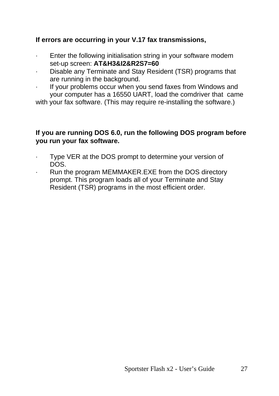#### **If errors are occurring in your V.17 fax transmissions,**

- · Enter the following initialisation string in your software modem set-up screen: **AT&H3&I2&R2S7=60**
- · Disable any Terminate and Stay Resident (TSR) programs that are running in the background.
- If your problems occur when you send faxes from Windows and your computer has a 16550 UART, load the comdriver that came

with your fax software. (This may require re-installing the software.)

#### **If you are running DOS 6.0, run the following DOS program before you run your fax software.**

- Type VER at the DOS prompt to determine your version of DOS.
- Run the program MEMMAKER.EXE from the DOS directory prompt. This program loads all of your Terminate and Stay Resident (TSR) programs in the most efficient order.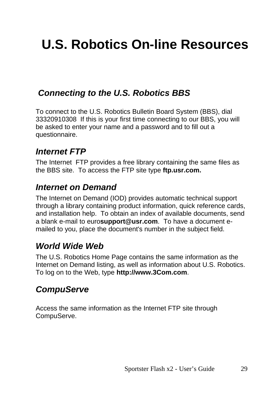# <span id="page-32-0"></span>**U.S. Robotics On-line Resources**

## *Connecting to the U.S. Robotics BBS*

To connect to the U.S. Robotics Bulletin Board System (BBS), dial 33320910308 If this is your first time connecting to our BBS, you will be asked to enter your name and a password and to fill out a questionnaire.

## *Internet FTP*

The Internet FTP provides a free library containing the same files as the BBS site. To access the FTP site type **ftp.usr.com.**

## *Internet on Demand*

The Internet on Demand (IOD) provides automatic technical support through a library containing product information, quick reference cards, and installation help. To obtain an index of available documents, send a blank e-mail to euro**support@usr.com**. To have a document emailed to you, place the document's number in the subject field.

## *World Wide Web*

The U.S. Robotics Home Page contains the same information as the Internet on Demand listing, as well as information about U.S. Robotics. To log on to the Web, type **http://www.3Com.com**.

## *CompuServe*

Access the same information as the Internet FTP site through CompuServe.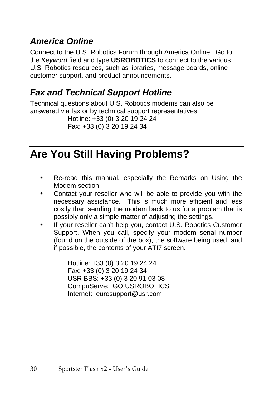# <span id="page-33-0"></span>*America Online*

Connect to the U.S. Robotics Forum through America Online. Go to the *Keyword* field and type **USROBOTICS** to connect to the various U.S. Robotics resources, such as libraries, message boards, online customer support, and product announcements.

# *Fax and Technical Support Hotline*

Technical questions about U.S. Robotics modems can also be answered via fax or by technical support representatives.

Hotline: +33 (0) 3 20 19 24 24 Fax: +33 (0) 3 20 19 24 34

# **Are You Still Having Problems?**

- Re-read this manual, especially the Remarks on Using the Modem section.
- Contact your reseller who will be able to provide you with the necessary assistance. This is much more efficient and less costly than sending the modem back to us for a problem that is possibly only a simple matter of adjusting the settings.
- If your reseller can't help you, contact U.S. Robotics Customer Support. When you call, specify your modem serial number (found on the outside of the box), the software being used, and if possible, the contents of your ATI7 screen.

Hotline: +33 (0) 3 20 19 24 24 Fax: +33 (0) 3 20 19 24 34 USR BBS: +33 (0) 3 20 91 03 08 CompuServe: GO USROBOTICS Internet: eurosupport@usr.com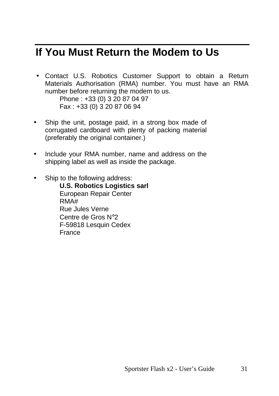# <span id="page-34-0"></span>**If You Must Return the Modem to Us**

• Contact U.S. Robotics Customer Support to obtain a Return Materials Authorisation (RMA) number. You must have an RMA number before returning the modem to us. Phone : +33 (0) 3 20 87 04 97

Fax : +33 (0) 3 20 87 06 94

- Ship the unit, postage paid, in a strong box made of corrugated cardboard with plenty of packing material (preferably the original container.)
- Include your RMA number, name and address on the shipping label as well as inside the package.
- Ship to the following address:
	- **U.S. Robotics Logistics sarl** European Repair Center RMA# Rue Jules Verne Centre de Gros N°2 F-59818 Lesquin Cedex France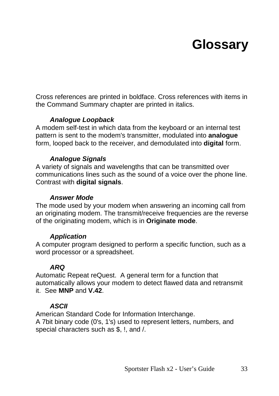# **Glossary**

<span id="page-36-0"></span>Cross references are printed in boldface. Cross references with items in the Command Summary chapter are printed in italics.

#### *Analogue Loopback*

A modem self-test in which data from the keyboard or an internal test pattern is sent to the modem's transmitter, modulated into **analogue** form, looped back to the receiver, and demodulated into **digital** form.

#### *Analogue Signals*

A variety of signals and wavelengths that can be transmitted over communications lines such as the sound of a voice over the phone line. Contrast with **digital signals**.

#### *Answer Mode*

The mode used by your modem when answering an incoming call from an originating modem. The transmit/receive frequencies are the reverse of the originating modem, which is in **Originate mode**.

#### *Application*

A computer program designed to perform a specific function, such as a word processor or a spreadsheet.

#### *ARQ*

Automatic Repeat reQuest. A general term for a function that automatically allows your modem to detect flawed data and retransmit it. See **MNP** and **V.42**.

#### *ASCII*

American Standard Code for Information Interchange. A 7bit binary code (0's, 1's) used to represent letters, numbers, and special characters such as \$, !, and /.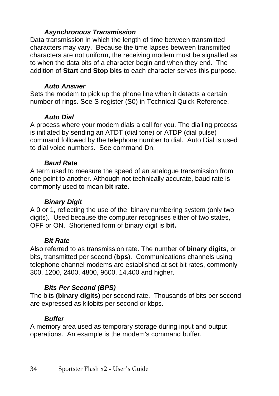#### *Asynchronous Transmission*

Data transmission in which the length of time between transmitted characters may vary. Because the time lapses between transmitted characters are not uniform, the receiving modem must be signalled as to when the data bits of a character begin and when they end. The addition of **Start** and **Stop bits** to each character serves this purpose.

#### *Auto Answer*

Sets the modem to pick up the phone line when it detects a certain number of rings. See S-register (S0) in Technical Quick Reference.

#### *Auto Dial*

A process where your modem dials a call for you. The dialling process is initiated by sending an ATDT (dial tone) or ATDP (dial pulse) command followed by the telephone number to dial. Auto Dial is used to dial voice numbers. See command Dn.

#### *Baud Rate*

A term used to measure the speed of an analogue transmission from one point to another. Although not technically accurate, baud rate is commonly used to mean **bit rate.**

#### *Binary Digit*

A 0 or 1, reflecting the use of the binary numbering system (only two digits). Used because the computer recognises either of two states, OFF or ON. Shortened form of binary digit is **bit.**

#### *Bit Rate*

Also referred to as transmission rate. The number of **binary digits**, or bits, transmitted per second (**bps**). Communications channels using telephone channel modems are established at set bit rates, commonly 300, 1200, 2400, 4800, 9600, 14,400 and higher.

#### *Bits Per Second (BPS)*

The bits **(binary digits)** per second rate. Thousands of bits per second are expressed as kilobits per second or kbps.

#### *Buffer*

A memory area used as temporary storage during input and output operations. An example is the modem's command buffer.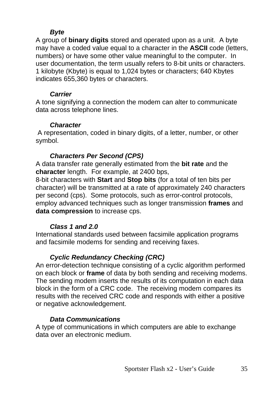#### *Byte*

A group of **binary digits** stored and operated upon as a unit. A byte may have a coded value equal to a character in the **ASCII** code (letters, numbers) or have some other value meaningful to the computer. In user documentation, the term usually refers to 8-bit units or characters. 1 kilobyte (Kbyte) is equal to 1,024 bytes or characters; 640 Kbytes indicates 655,360 bytes or characters.

#### *Carrier*

A tone signifying a connection the modem can alter to communicate data across telephone lines.

#### *Character*

 A representation, coded in binary digits, of a letter, number, or other symbol.

#### *Characters Per Second (CPS)*

A data transfer rate generally estimated from the **bit rate** and the **character** length. For example, at 2400 bps,

8-bit characters with **Start** and **Stop bits** (for a total of ten bits per character) will be transmitted at a rate of approximately 240 characters per second (cps). Some protocols, such as error-control protocols, employ advanced techniques such as longer transmission **frames** and **data compression** to increase cps.

#### *Class 1 and 2.0*

International standards used between facsimile application programs and facsimile modems for sending and receiving faxes.

#### *Cyclic Redundancy Checking (CRC)*

An error-detection technique consisting of a cyclic algorithm performed on each block or **frame** of data by both sending and receiving modems. The sending modem inserts the results of its computation in each data block in the form of a CRC code. The receiving modem compares its results with the received CRC code and responds with either a positive or negative acknowledgement.

#### *Data Communications*

A type of communications in which computers are able to exchange data over an electronic medium.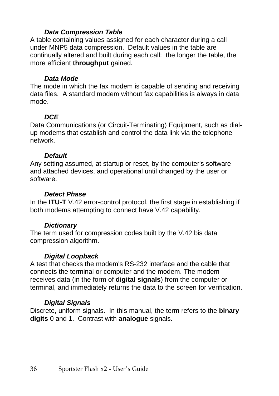#### *Data Compression Table*

A table containing values assigned for each character during a call under MNP5 data compression. Default values in the table are continually altered and built during each call: the longer the table, the more efficient **throughput** gained.

#### *Data Mode*

The mode in which the fax modem is capable of sending and receiving data files. A standard modem without fax capabilities is always in data mode.

#### *DCE*

Data Communications (or Circuit-Terminating) Equipment, such as dialup modems that establish and control the data link via the telephone network.

#### *Default*

Any setting assumed, at startup or reset, by the computer's software and attached devices, and operational until changed by the user or software.

#### *Detect Phase*

In the **ITU-T** V.42 error-control protocol, the first stage in establishing if both modems attempting to connect have V.42 capability.

#### *Dictionary*

The term used for compression codes built by the V.42 bis data compression algorithm.

#### *Digital Loopback*

A test that checks the modem's RS-232 interface and the cable that connects the terminal or computer and the modem. The modem receives data (in the form of **digital signals**) from the computer or terminal, and immediately returns the data to the screen for verification.

#### *Digital Signals*

Discrete, uniform signals. In this manual, the term refers to the **binary digits** 0 and 1. Contrast with **analogue** signals.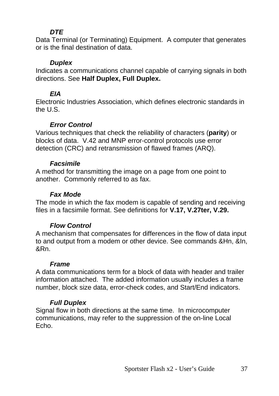#### *DTE*

Data Terminal (or Terminating) Equipment. A computer that generates or is the final destination of data.

#### *Duplex*

Indicates a communications channel capable of carrying signals in both directions. See **Half Duplex, Full Duplex.**

#### *EIA*

Electronic Industries Association, which defines electronic standards in the  $II.S.$ 

#### *Error Control*

Various techniques that check the reliability of characters (**parity**) or blocks of data. V.42 and MNP error-control protocols use error detection (CRC) and retransmission of flawed frames (ARQ).

#### *Facsimile*

A method for transmitting the image on a page from one point to another. Commonly referred to as fax.

#### *Fax Mode*

The mode in which the fax modem is capable of sending and receiving files in a facsimile format. See definitions for **V.17, V.27ter, V.29.**

#### *Flow Control*

A mechanism that compensates for differences in the flow of data input to and output from a modem or other device. See commands &Hn, &In, &Rn.

#### *Frame*

A data communications term for a block of data with header and trailer information attached. The added information usually includes a frame number, block size data, error-check codes, and Start/End indicators.

#### *Full Duplex*

Signal flow in both directions at the same time. In microcomputer communications, may refer to the suppression of the on-line Local Echo.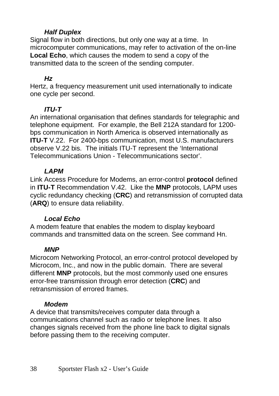#### *Half Duplex*

Signal flow in both directions, but only one way at a time. In microcomputer communications, may refer to activation of the on-line **Local Echo**, which causes the modem to send a copy of the transmitted data to the screen of the sending computer.

#### *Hz*

Hertz, a frequency measurement unit used internationally to indicate one cycle per second.

#### *ITU-T*

An international organisation that defines standards for telegraphic and telephone equipment. For example, the Bell 212A standard for 1200 bps communication in North America is observed internationally as **ITU-T** V.22. For 2400-bps communication, most U.S. manufacturers observe V.22 bis. The initials ITU-T represent the 'International Telecommunications Union - Telecommunications sector'.

#### *LAPM*

Link Access Procedure for Modems, an error-control **protocol** defined in **ITU-T** Recommendation V.42. Like the **MNP** protocols, LAPM uses cyclic redundancy checking (**CRC**) and retransmission of corrupted data (**ARQ**) to ensure data reliability.

#### *Local Echo*

A modem feature that enables the modem to display keyboard commands and transmitted data on the screen. See command Hn.

#### *MNP*

Microcom Networking Protocol, an error-control protocol developed by Microcom, Inc., and now in the public domain. There are several different **MNP** protocols, but the most commonly used one ensures error-free transmission through error detection (**CRC**) and retransmission of errored frames.

#### *Modem*

A device that transmits/receives computer data through a communications channel such as radio or telephone lines. It also changes signals received from the phone line back to digital signals before passing them to the receiving computer.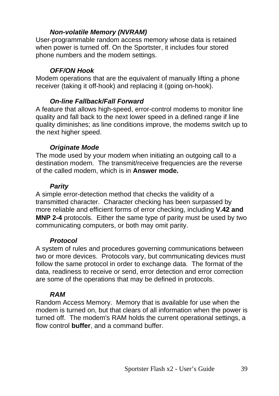#### *Non-volatile Memory (NVRAM)*

User-programmable random access memory whose data is retained when power is turned off. On the Sportster, it includes four stored phone numbers and the modem settings.

#### *OFF/ON Hook*

Modem operations that are the equivalent of manually lifting a phone receiver (taking it off-hook) and replacing it (going on-hook).

#### *On-line Fallback/Fall Forward*

A feature that allows high-speed, error-control modems to monitor line quality and fall back to the next lower speed in a defined range if line quality diminishes; as line conditions improve, the modems switch up to the next higher speed.

#### *Originate Mode*

The mode used by your modem when initiating an outgoing call to a destination modem. The transmit/receive frequencies are the reverse of the called modem, which is in **Answer mode.**

#### *Parity*

A simple error-detection method that checks the validity of a transmitted character. Character checking has been surpassed by more reliable and efficient forms of error checking, including **V.42 and MNP 2-4** protocols. Either the same type of parity must be used by two communicating computers, or both may omit parity.

#### *Protocol*

A system of rules and procedures governing communications between two or more devices. Protocols vary, but communicating devices must follow the same protocol in order to exchange data. The format of the data, readiness to receive or send, error detection and error correction are some of the operations that may be defined in protocols.

#### *RAM*

Random Access Memory. Memory that is available for use when the modem is turned on, but that clears of all information when the power is turned off. The modem's RAM holds the current operational settings, a flow control **buffer**, and a command buffer.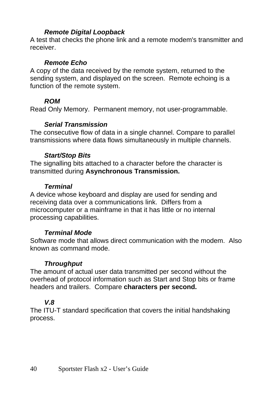#### *Remote Digital Loopback*

A test that checks the phone link and a remote modem's transmitter and receiver.

#### *Remote Echo*

A copy of the data received by the remote system, returned to the sending system, and displayed on the screen. Remote echoing is a function of the remote system.

#### *ROM*

Read Only Memory. Permanent memory, not user-programmable.

#### *Serial Transmission*

The consecutive flow of data in a single channel. Compare to parallel transmissions where data flows simultaneously in multiple channels.

#### *Start/Stop Bits*

The signalling bits attached to a character before the character is transmitted during **Asynchronous Transmission.**

#### *Terminal*

A device whose keyboard and display are used for sending and receiving data over a communications link. Differs from a microcomputer or a mainframe in that it has little or no internal processing capabilities.

#### *Terminal Mode*

Software mode that allows direct communication with the modem. Also known as command mode.

#### *Throughput*

The amount of actual user data transmitted per second without the overhead of protocol information such as Start and Stop bits or frame headers and trailers. Compare **characters per second.**

#### *V.8*

The ITU-T standard specification that covers the initial handshaking process.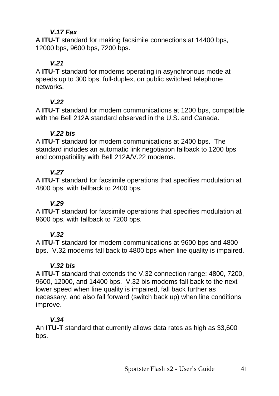#### *V.17 Fax*

A **ITU-T** standard for making facsimile connections at 14400 bps, 12000 bps, 9600 bps, 7200 bps.

#### *V.21*

A **ITU-T** standard for modems operating in asynchronous mode at speeds up to 300 bps, full-duplex, on public switched telephone networks.

### *V.22*

A **ITU-T** standard for modem communications at 1200 bps, compatible with the Bell 212A standard observed in the U.S. and Canada.

#### *V.22 bis*

A **ITU-T** standard for modem communications at 2400 bps. The standard includes an automatic link negotiation fallback to 1200 bps and compatibility with Bell 212A/V.22 modems.

#### *V.27*

A **ITU-T** standard for facsimile operations that specifies modulation at 4800 bps, with fallback to 2400 bps.

#### *V.29*

A **ITU-T** standard for facsimile operations that specifies modulation at 9600 bps, with fallback to 7200 bps.

#### *V.32*

A **ITU-T** standard for modem communications at 9600 bps and 4800 bps. V.32 modems fall back to 4800 bps when line quality is impaired.

#### *V.32 bis*

A **ITU-T** standard that extends the V.32 connection range: 4800, 7200, 9600, 12000, and 14400 bps. V.32 bis modems fall back to the next lower speed when line quality is impaired, fall back further as necessary, and also fall forward (switch back up) when line conditions improve.

### *V.34*

An **ITU-T** standard that currently allows data rates as high as 33,600 bps.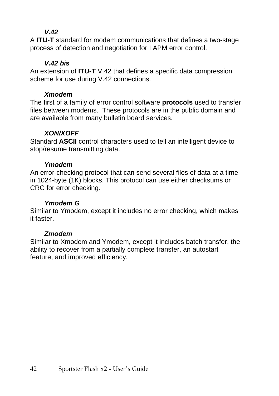#### *V.42*

A **ITU-T** standard for modem communications that defines a two-stage process of detection and negotiation for LAPM error control.

#### *V.42 bis*

An extension of **ITU-T** V.42 that defines a specific data compression scheme for use during V.42 connections.

#### *Xmodem*

The first of a family of error control software **protocols** used to transfer files between modems. These protocols are in the public domain and are available from many bulletin board services.

#### *XON/XOFF*

Standard **ASCII** control characters used to tell an intelligent device to stop/resume transmitting data.

#### *Ymodem*

An error-checking protocol that can send several files of data at a time in 1024-byte (1K) blocks. This protocol can use either checksums or CRC for error checking.

#### *Ymodem G*

Similar to Ymodem, except it includes no error checking, which makes it faster.

#### *Zmodem*

Similar to Xmodem and Ymodem, except it includes batch transfer, the ability to recover from a partially complete transfer, an autostart feature, and improved efficiency.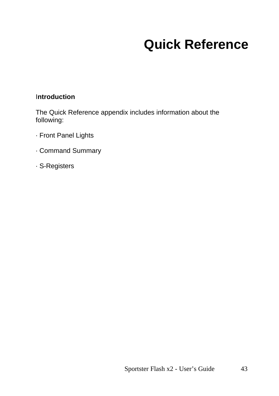# **Quick Reference**

#### <span id="page-46-0"></span>I**ntroduction**

The Quick Reference appendix includes information about the following:

- · Front Panel Lights
- · Command Summary
- · S-Registers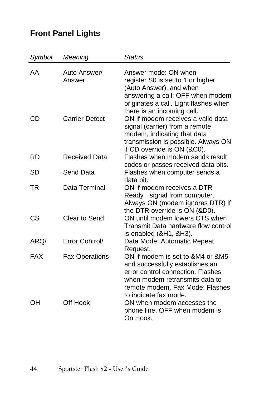# **Front Panel Lights**

| Symbol    | Meaning                | <b>Status</b>                                                                                                                                                                                          |
|-----------|------------------------|--------------------------------------------------------------------------------------------------------------------------------------------------------------------------------------------------------|
| AA        | Auto Answer/<br>Answer | Answer mode: ON when<br>register S0 is set to 1 or higher<br>(Auto Answer), and when<br>answering a call; OFF when modem<br>originates a call. Light flashes when<br>there is an incoming call.        |
| CD        | <b>Carrier Detect</b>  | ON if modem receives a valid data<br>signal (carrier) from a remote<br>modem, indicating that data<br>transmission is possible. Always ON<br>if CD override is ON (&C0).                               |
| <b>RD</b> | <b>Received Data</b>   | Flashes when modem sends result<br>codes or passes received data bits.                                                                                                                                 |
| SD        | Send Data              | Flashes when computer sends a<br>data bit.                                                                                                                                                             |
| TR        | Data Terminal          | ON if modem receives a DTR<br>Ready signal from computer.<br>Always ON (modem ignores DTR) if<br>the DTR override is ON (&D0).                                                                         |
| CS        | Clear to Send          | ON until modem lowers CTS when<br>Transmit Data hardware flow control<br>is enabled (&H1, &H3).                                                                                                        |
| ARQ/      | Error Control/         | Data Mode: Automatic Repeat<br>Request.                                                                                                                                                                |
| FAX       | <b>Fax Operations</b>  | ON if modem is set to &M4 or &M5<br>and successfully establishes an<br>error control connection. Flashes<br>when modem retransmits data to<br>remote modem. Fax Mode: Flashes<br>to indicate fax mode. |
| OН        | Off Hook               | ON when modem accesses the<br>phone line. OFF when modem is<br>On Hook.                                                                                                                                |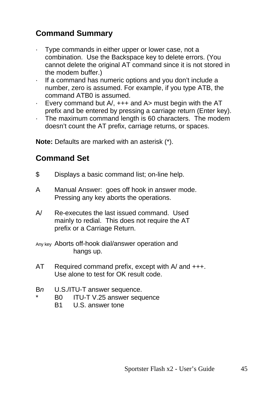## **Command Summary**

- Type commands in either upper or lower case, not a combination. Use the Backspace key to delete errors. (You cannot delete the original AT command since it is not stored in the modem buffer.)
- If a command has numeric options and you don't include a number, zero is assumed. For example, if you type ATB, the command ATB0 is assumed.
- · Every command but A/, +++ and A> must begin with the AT prefix and be entered by pressing a carriage return (Enter key).
- · The maximum command length is 60 characters. The modem doesn't count the AT prefix, carriage returns, or spaces.

**Note:** Defaults are marked with an asterisk (\*).

### **Command Set**

- \$ Displays a basic command list; on-line help.
- A Manual Answer: goes off hook in answer mode. Pressing any key aborts the operations.
- A/ Re-executes the last issued command. Used mainly to redial. This does not require the AT prefix or a Carriage Return.
- Any key Aborts off-hook dial/answer operation and hangs up.
- AT Required command prefix, except with A/ and +++. Use alone to test for OK result code.
- B*n* U.S./ITU-T answer sequence.
	- B0 ITU-T V.25 answer sequence
		- B1 U.S. answer tone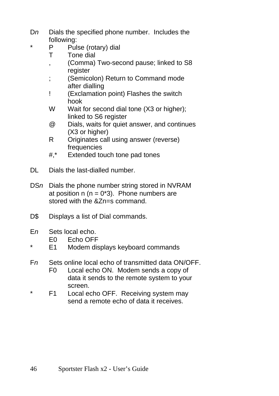- Dn Dials the specified phone number. Includes the following:
	- P Pulse (rotary) dial
	- T Tone dial
	- , (Comma) Two-second pause; linked to S8 register
	- ; (Semicolon) Return to Command mode after dialling
	- ! (Exclamation point) Flashes the switch hook
	- W Wait for second dial tone (X3 or higher); linked to S6 register
	- @ Dials, waits for quiet answer, and continues (X3 or higher)
	- R Originates call using answer (reverse) frequencies
	- #,\* Extended touch tone pad tones
- DL Dials the last-dialled number.
- DS*n* Dials the phone number string stored in NVRAM at position  $n (n = 0<sup>*</sup>3)$ . Phone numbers are stored with the &Zn=s command.
- D\$ Displays a list of Dial commands.
- E*n* Sets local echo.
	- E0 Echo OFF
- E1 Modem displays keyboard commands
- F*n* Sets online local echo of transmitted data ON/OFF.
	- F0 Local echo ON. Modem sends a copy of data it sends to the remote system to your screen.
- \* F1 Local echo OFF. Receiving system may send a remote echo of data it receives.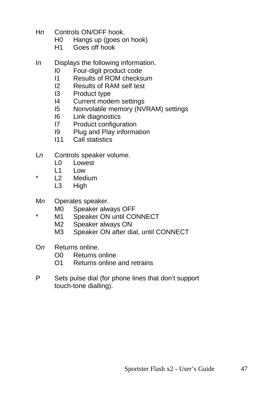- H*n* Controls ON/OFF hook.
	- H0 Hangs up (goes on hook)
	- H1 Goes off hook
- I*n* Displays the following information.
	- I0 Four-digit product code
	- I1 Results of ROM checksum
	- I2 Results of RAM self test
	- I3 Product type
	- I4 Current modem settings
	- I5 Nonvolatile memory (NVRAM) settings
	- I6 Link diagnostics
	- I7 Product configuration
	- I9 Plug and Play information
	- I11 Call statistics
- L*n* Controls speaker volume.
	- L0 Lowest
	- L1 Low
- L2 Medium
	- L3 High
- M*n* Operates speaker.
	- M0 Speaker always OFF
- \* M1 Speaker ON until CONNECT
	- M2 Speaker always ON
	- M3 Speaker ON after dial, until CONNECT
- O*n* Returns online.
	- O0 Returns online
	- O1 Returns online and retrains
- P Sets pulse dial (for phone lines that don't support touch-tone dialling).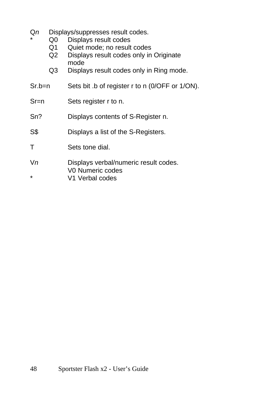- Q*n* Displays/suppresses result codes.
	- Q0 Displays result codes
		- Q1 Quiet mode; no result codes
		- Q2 Displays result codes only in Originate mode
		- Q3 Displays result codes only in Ring mode.
- Sr.b=n Sets bit .b of register r to n (0/OFF or 1/ON).
- Sr=n Sets register r to n.
- Sn? Displays contents of S-Register n.
- S\$ Displays a list of the S-Registers.
- T Sets tone dial.
- V*n* Displays verbal/numeric result codes. V0 Numeric codes
- \* V1 Verbal codes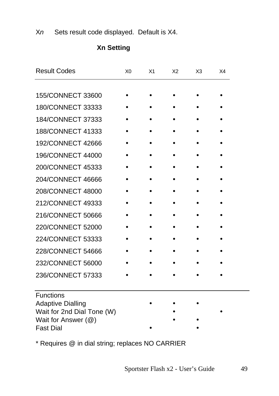X*n* Sets result code displayed. Default is X4.

| <b>Result Codes</b>                               | X <sub>0</sub> | X <sub>1</sub> | X <sub>2</sub> | X <sub>3</sub> | X4 |
|---------------------------------------------------|----------------|----------------|----------------|----------------|----|
|                                                   |                |                |                |                |    |
| 155/CONNECT 33600                                 |                |                |                |                |    |
| 180/CONNECT 33333                                 |                |                |                |                |    |
| 184/CONNECT 37333                                 |                |                |                |                |    |
| 188/CONNECT 41333                                 |                |                |                |                |    |
| 192/CONNECT 42666                                 |                |                |                |                |    |
| 196/CONNECT 44000                                 |                |                |                |                |    |
| 200/CONNECT 45333                                 |                |                |                |                |    |
| 204/CONNECT 46666                                 |                |                |                |                |    |
| 208/CONNECT 48000                                 |                |                |                |                |    |
| 212/CONNECT 49333                                 |                |                |                |                |    |
| 216/CONNECT 50666                                 |                |                |                |                |    |
| 220/CONNECT 52000                                 |                |                |                |                |    |
| 224/CONNECT 53333                                 |                |                |                |                |    |
| 228/CONNECT 54666                                 |                |                |                |                |    |
| 232/CONNECT 56000                                 |                |                |                |                |    |
| 236/CONNECT 57333                                 |                |                |                |                |    |
|                                                   |                |                |                |                |    |
| Functions                                         |                |                |                |                |    |
| <b>Adaptive Dialling</b>                          |                |                |                |                |    |
| Wait for 2nd Dial Tone (W)<br>Wait for Answer (@) |                |                |                |                |    |
|                                                   |                |                |                |                |    |

#### **Xn Setting**

\* Requires @ in dial string; replaces NO CARRIER

Fast Dial • •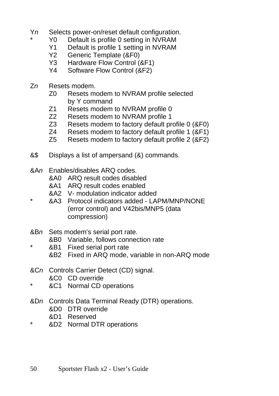- Y*n* Selects power-on/reset default configuration.
	- Y0 Default is profile 0 setting in NVRAM<br>Y1 Default is profile 1 setting in NVRAM
	- Y1 Default is profile 1 setting in NVRAM<br>Y2 Generic Template (&F0)
		- Generic Template (&F0)
	- Y3 Hardware Flow Control (&F1)
	- Y4 Software Flow Control (&F2)
- Z*n* Resets modem.
	- Z0 Resets modem to NVRAM profile selected by Y command
	- Z1 Resets modem to NVRAM profile 0
	- Z2 Resets modem to NVRAM profile 1<br>Z3 Resets modem to factory default pro
	- Resets modem to factory default profile 0 (&F0)
	- Z4 Resets modem to factory default profile 1 (&F1)
	- Z5 Resets modem to factory default profile 2 (&F2)
- &\$ Displays a list of ampersand (&) commands.
- &A*n* Enables/disables ARQ codes.
	- &A0 ARQ result codes disabled
	- &A1 ARQ result codes enabled
	- &A2 V- modulation indicator added
- \* &A3 Protocol indicators added LAPM/MNP/NONE (error control) and V42bis/MNP5 (data compression)
- &B*n* Sets modem's serial port rate.
	- &B0 Variable, follows connection rate
- \* &B1 Fixed serial port rate
	- &B2 Fixed in ARQ mode, variable in non-ARQ mode
- &C*n* Controls Carrier Detect (CD) signal.
- &C0 CD override
- &C1 Normal CD operations
- &D*n* Controls Data Terminal Ready (DTR) operations.
	- &D0 DTR override
	- &D1 Reserved
- \* &D2 Normal DTR operations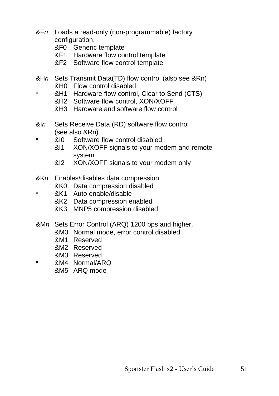- &F*n* Loads a read-only (non-programmable) factory configuration.
	- &F0 Generic template
	- &F1 Hardware flow control template
	- &F2 Software flow control template
- &H*n* Sets Transmit Data(TD) flow control (also see &Rn) &H0 Flow control disabled
	- &H1 Hardware flow control, Clear to Send (CTS)
		- &H2 Software flow control, XON/XOFF
		- &H3 Hardware and software flow control
- &I*n* Sets Receive Data (RD) software flow control (see also &Rn).
	- \* &I0 Software flow control disabled
		- &I1 XON/XOFF signals to your modem and remote system
		- &I2 XON/XOFF signals to your modem only
- &K*n* Enables/disables data compression.
	- &K0 Data compression disabled
- \* &K1 Auto enable/disable
	- &K2 Data compression enabled
	- &K3 MNP5 compression disabled
- &M*n* Sets Error Control (ARQ) 1200 bps and higher.
	- &M0 Normal mode, error control disabled
	- &M1 Reserved
	- &M2 Reserved
	- &M3 Reserved
	- \* &M4 Normal/ARQ
	- &M5 ARQ mode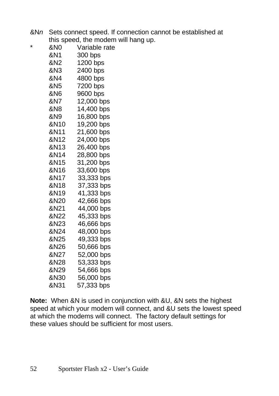&N*n* Sets connect speed. If connection cannot be established at this speed, the modem will hang up.

| * | &N0  | Variable rate |
|---|------|---------------|
|   | &N1  | 300 bps       |
|   | &N2  | 1200 bps      |
|   | &N3. | 2400 bps      |
|   | &N4  | 4800 bps      |
|   | &N5  | 7200 bps      |
|   | &N6  | 9600 bps      |
|   | &N7  | 12,000 bps    |
|   | &N8  | 14,400 bps    |
|   | &N9  | 16,800 bps    |
|   | &N10 | 19,200 bps    |
|   | &N11 | 21,600 bps    |
|   | &N12 | 24,000 bps    |
|   | &N13 | 26,400 bps    |
|   | &N14 | 28,800 bps    |
|   | &N15 | 31,200 bps    |
|   | &N16 | 33,600 bps    |
|   | &N17 | 33,333 bps    |
|   | &N18 | 37,333 bps    |
|   | &N19 | 41,333 bps    |
|   | &N20 | 42,666 bps    |
|   | &N21 | 44,000 bps    |
|   | &N22 | 45,333 bps    |
|   | &N23 | 46,666 bps    |
|   | &N24 | 48,000 bps    |
|   | &N25 | 49,333 bps    |
|   | &N26 | 50,666 bps    |
|   | &N27 | 52,000 bps    |
|   | &N28 | 53,333 bps    |
|   | &N29 | 54,666 bps    |
|   | &N30 | 56,000 bps    |
|   | &N31 | 57,333 bps    |

**Note:** When &N is used in conjunction with &U, &N sets the highest speed at which your modem will connect, and &U sets the lowest speed at which the modems will connect. The factory default settings for these values should be sufficient for most users.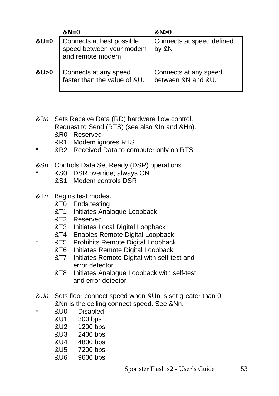|        | $&N=0$                                                                    | &N>0                                        |
|--------|---------------------------------------------------------------------------|---------------------------------------------|
| $&U=0$ | Connects at best possible<br>speed between your modem<br>and remote modem | Connects at speed defined<br>by &N          |
| &U>0   | Connects at any speed<br>faster than the value of &U.                     | Connects at any speed<br>between &N and &U. |

- &R*n* Sets Receive Data (RD) hardware flow control, Request to Send (RTS) (see also &In and &Hn). &R0 Reserved &R1 Modem ignores RTS
- &R2 Received Data to computer only on RTS
- &S*n* Controls Data Set Ready (DSR) operations.
	- $&$  &S0 DSR override; always ON
		- &S1 Modem controls DSR
- &T*n* Begins test modes.
	- &T0 Ends testing
	- &T1 Initiates Analogue Loopback
	- &T2 Reserved
	- &T3 Initiates Local Digital Loopback
	- &T4 Enables Remote Digital Loopback
	- **&T5** Prohibits Remote Digital Loopback
		- &T6 Initiates Remote Digital Loopback
		- &T7 Initiates Remote Digital with self-test and error detector
		- &T8 Initiates Analogue Loopback with self-test and error detector
- &U*n* Sets floor connect speed when &Un is set greater than 0. &Nn is the ceiling connect speed. See &Nn.
	- &U0 Disabled<br>&U1 300 bps
	- 300 bps
	- &U2 1200 bps
	- &U3 2400 bps
	- &U4 4800 bps
	- &U5 7200 bps
	- &U6 9600 bps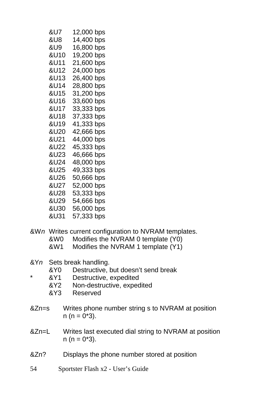| &U7  | 12,000 bps |
|------|------------|
| &U8. | 14,400 bps |
| &U9. | 16,800 bps |
| &U10 | 19,200 bps |
| &U11 | 21,600 bps |
| &U12 | 24,000 bps |
| &U13 | 26,400 bps |
| &U14 | 28,800 bps |
| &U15 | 31,200 bps |
| &U16 | 33,600 bps |
| &U17 | 33,333 bps |
| &U18 | 37,333 bps |
| &U19 | 41,333 bps |
| &U20 | 42,666 bps |
| &U21 | 44,000 bps |
| &U22 | 45,333 bps |
| &U23 | 46,666 bps |
| &U24 | 48,000 bps |
| &U25 | 49,333 bps |
| &U26 | 50,666 bps |
| &U27 | 52,000 bps |
| &U28 | 53,333 bps |
| &U29 | 54,666 bps |
| &U30 | 56,000 bps |
| &U31 | 57,333 bps |

- &W*n* Writes current configuration to NVRAM templates.
	- &W0 Modifies the NVRAM 0 template (Y0)
	- &W1 Modifies the NVRAM 1 template (Y1)
- &Y*n* Sets break handling.
	- &Y0 Destructive, but doesn't send break
- \* &Y1 Destructive, expedited
	- &Y2 Non-destructive, expedited
	- &Y3 Reserved
- &Zn=s Writes phone number string s to NVRAM at position  $n (n = 0*3)$ .
- &Zn=L Writes last executed dial string to NVRAM at position  $n (n = 0*3)$ .
- &Zn? Displays the phone number stored at position
- 54 Sportster Flash x2 User's Guide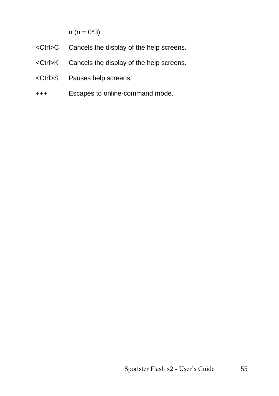$n (n = 0*3)$ .

- <Ctrl>C Cancels the display of the help screens.
- <Ctrl>K Cancels the display of the help screens.
- <Ctrl>S Pauses help screens.
- +++ Escapes to online-command mode.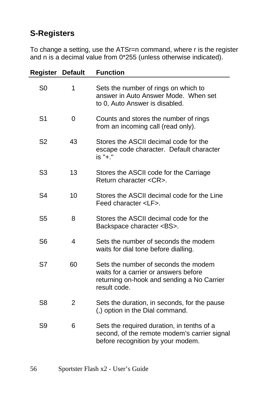## **S-Registers**

To change a setting, use the ATSr=n command, where r is the register and n is a decimal value from 0\*255 (unless otherwise indicated).

| Register       | <b>Default</b> | <b>Function</b>                                                                                                                             |
|----------------|----------------|---------------------------------------------------------------------------------------------------------------------------------------------|
| S <sub>0</sub> | 1              | Sets the number of rings on which to<br>answer in Auto Answer Mode. When set<br>to 0, Auto Answer is disabled.                              |
| S <sub>1</sub> | 0              | Counts and stores the number of rings<br>from an incoming call (read only).                                                                 |
| S <sub>2</sub> | 43             | Stores the ASCII decimal code for the<br>escape code character. Default character<br>is "+."                                                |
| S3             | 13             | Stores the ASCII code for the Carriage<br>Return character <cr>.</cr>                                                                       |
| S <sub>4</sub> | 10             | Stores the ASCII decimal code for the Line<br>Feed character <lf>.</lf>                                                                     |
| S <sub>5</sub> | 8              | Stores the ASCII decimal code for the<br>Backspace character <bs>.</bs>                                                                     |
| S <sub>6</sub> | 4              | Sets the number of seconds the modem<br>waits for dial tone before dialling.                                                                |
| S7             | 60             | Sets the number of seconds the modem<br>waits for a carrier or answers before<br>returning on-hook and sending a No Carrier<br>result code. |
| S8             | 2              | Sets the duration, in seconds, for the pause<br>(,) option in the Dial command.                                                             |
| S9             | 6              | Sets the required duration, in tenths of a<br>second, of the remote modem's carrier signal<br>before recognition by your modem.             |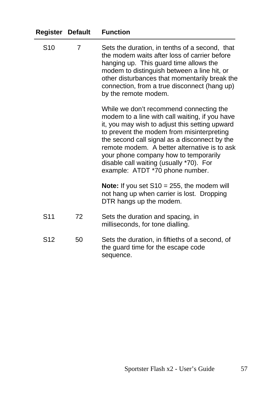| Register        | <b>Default</b> | <b>Function</b>                                                                                                                                                                                                                                                                                                                                                                                                  |
|-----------------|----------------|------------------------------------------------------------------------------------------------------------------------------------------------------------------------------------------------------------------------------------------------------------------------------------------------------------------------------------------------------------------------------------------------------------------|
| S <sub>10</sub> | 7              | Sets the duration, in tenths of a second, that<br>the modem waits after loss of carrier before<br>hanging up. This guard time allows the<br>modem to distinguish between a line hit, or<br>other disturbances that momentarily break the<br>connection, from a true disconnect (hang up)<br>by the remote modem.                                                                                                 |
|                 |                | While we don't recommend connecting the<br>modem to a line with call waiting, if you have<br>it, you may wish to adjust this setting upward<br>to prevent the modem from misinterpreting<br>the second call signal as a disconnect by the<br>remote modem. A better alternative is to ask<br>your phone company how to temporarily<br>disable call waiting (usually *70). For<br>example: ATDT *70 phone number. |
|                 |                | Note: If you set $S10 = 255$ , the modem will<br>not hang up when carrier is lost. Dropping<br>DTR hangs up the modem.                                                                                                                                                                                                                                                                                           |
| S <sub>11</sub> | 72             | Sets the duration and spacing, in<br>milliseconds, for tone dialling.                                                                                                                                                                                                                                                                                                                                            |
| S12             | 50             | Sets the duration, in fiftieths of a second, of<br>the guard time for the escape code<br>sequence.                                                                                                                                                                                                                                                                                                               |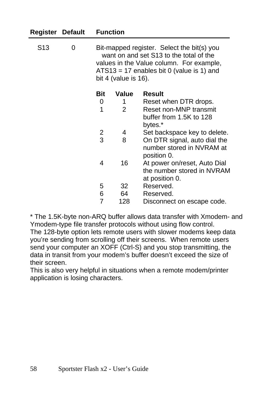| Register Default |   |                                                                                                                                                                                                             | <b>Function</b> |                              |  |
|------------------|---|-------------------------------------------------------------------------------------------------------------------------------------------------------------------------------------------------------------|-----------------|------------------------------|--|
| S <sub>13</sub>  | 0 | Bit-mapped register. Select the bit(s) you<br>want on and set S13 to the total of the<br>values in the Value column. For example,<br>$ATS13 = 17$ enables bit 0 (value is 1) and<br>bit 4 (value is $16$ ). |                 |                              |  |
|                  |   | Bit                                                                                                                                                                                                         | Value           | <b>Result</b>                |  |
|                  |   | 0                                                                                                                                                                                                           | 1               | Reset when DTR drops.        |  |
|                  |   | 1                                                                                                                                                                                                           | 2               | Reset non-MNP transmit       |  |
|                  |   |                                                                                                                                                                                                             |                 | buffer from 1.5K to 128      |  |
|                  |   |                                                                                                                                                                                                             |                 | bytes.*                      |  |
|                  |   | $\overline{\mathbf{c}}$                                                                                                                                                                                     | 4               | Set backspace key to delete. |  |
|                  |   | 3                                                                                                                                                                                                           | 8               | On DTR signal, auto dial the |  |
|                  |   |                                                                                                                                                                                                             |                 | number stored in NVRAM at    |  |
|                  |   |                                                                                                                                                                                                             |                 | position 0.                  |  |
|                  |   | 4                                                                                                                                                                                                           | 16              | At power on/reset, Auto Dial |  |
|                  |   |                                                                                                                                                                                                             |                 | the number stored in NVRAM   |  |
|                  |   |                                                                                                                                                                                                             |                 | at position 0.               |  |
|                  |   | 5                                                                                                                                                                                                           | 32              | Reserved.                    |  |
|                  |   | 6                                                                                                                                                                                                           | 64              | Reserved.                    |  |
|                  |   | $\overline{7}$                                                                                                                                                                                              | 128             | Disconnect on escape code.   |  |

\* The 1.5K-byte non-ARQ buffer allows data transfer with Xmodem- and Ymodem-type file transfer protocols without using flow control. The 128-byte option lets remote users with slower modems keep data you're sending from scrolling off their screens. When remote users send your computer an XOFF (Ctrl-S) and you stop transmitting, the data in transit from your modem's buffer doesn't exceed the size of their screen.

This is also very helpful in situations when a remote modem/printer application is losing characters.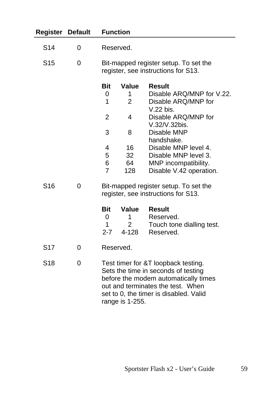| <b>Register</b> | <b>Default</b> | <b>Function</b>                                                              |                                              |                                                                                                                                                                                                   |
|-----------------|----------------|------------------------------------------------------------------------------|----------------------------------------------|---------------------------------------------------------------------------------------------------------------------------------------------------------------------------------------------------|
| S <sub>14</sub> | 0              |                                                                              | Reserved.                                    |                                                                                                                                                                                                   |
| S <sub>15</sub> | 0              | Bit-mapped register setup. To set the<br>register, see instructions for S13. |                                              |                                                                                                                                                                                                   |
|                 |                | <b>Bit</b><br>0<br>1                                                         | Value<br>1<br>$\overline{2}$                 | <b>Result</b><br>Disable ARQ/MNP for V.22.<br>Disable ARQ/MNP for<br>V.22 bis.                                                                                                                    |
|                 |                | 2<br>3                                                                       | 4<br>8                                       | Disable ARQ/MNP for<br>V.32/V.32bis.<br>Disable MNP                                                                                                                                               |
|                 |                | 4<br>5<br>6<br>7                                                             | 16<br>32<br>64<br>128                        | handshake.<br>Disable MNP level 4.<br>Disable MNP level 3.<br>MNP incompatibility.<br>Disable V.42 operation.                                                                                     |
| S <sub>16</sub> | 0              |                                                                              |                                              | Bit-mapped register setup. To set the<br>register, see instructions for S13.                                                                                                                      |
|                 |                | <b>Bit</b><br>0<br>1<br>$2 - 7$                                              | <b>Value</b><br>1<br>$\overline{2}$<br>4-128 | <b>Result</b><br>Reserved.<br>Touch tone dialling test.<br>Reserved.                                                                                                                              |
| S <sub>17</sub> | 0              |                                                                              | Reserved.                                    |                                                                                                                                                                                                   |
| S <sub>18</sub> | 0              |                                                                              | range is 1-255.                              | Test timer for &T loopback testing.<br>Sets the time in seconds of testing<br>before the modem automatically times<br>out and terminates the test. When<br>set to 0, the timer is disabled. Valid |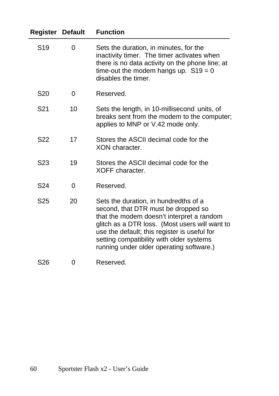| Register         | <b>Default</b> | <b>Function</b>                                                                                                                                                                                                                                                                                                     |
|------------------|----------------|---------------------------------------------------------------------------------------------------------------------------------------------------------------------------------------------------------------------------------------------------------------------------------------------------------------------|
| S19              | 0              | Sets the duration, in minutes, for the<br>inactivity timer. The timer activates when<br>there is no data activity on the phone line; at<br>time-out the modem hangs up. $S19 = 0$<br>disables the timer.                                                                                                            |
| S <sub>20</sub>  | 0              | Reserved.                                                                                                                                                                                                                                                                                                           |
| S <sub>21</sub>  | 10             | Sets the length, in 10-millisecond units, of<br>breaks sent from the modem to the computer;<br>applies to MNP or V.42 mode only.                                                                                                                                                                                    |
| S <sub>22</sub>  | 17             | Stores the ASCII decimal code for the<br>XON character.                                                                                                                                                                                                                                                             |
| S <sub>2</sub> 3 | 19             | Stores the ASCII decimal code for the<br>XOFF character.                                                                                                                                                                                                                                                            |
| S <sub>24</sub>  | 0              | Reserved.                                                                                                                                                                                                                                                                                                           |
| S <sub>25</sub>  | 20             | Sets the duration, in hundredths of a<br>second, that DTR must be dropped so<br>that the modem doesn't interpret a random<br>glitch as a DTR loss. (Most users will want to<br>use the default; this register is useful for<br>setting compatibility with older systems<br>running under older operating software.) |
| S <sub>26</sub>  | 0              | Reserved.                                                                                                                                                                                                                                                                                                           |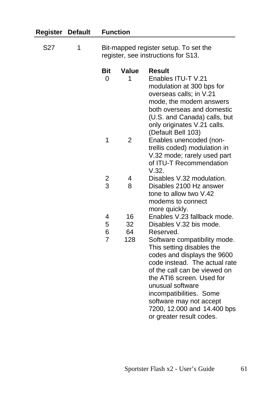| <b>Register</b> | <b>Default</b><br>1 | <b>Function</b><br>Bit-mapped register setup. To set the<br>register, see instructions for S13. |                |                                                                                                                                                                                                                                                                                                                                          |  |
|-----------------|---------------------|-------------------------------------------------------------------------------------------------|----------------|------------------------------------------------------------------------------------------------------------------------------------------------------------------------------------------------------------------------------------------------------------------------------------------------------------------------------------------|--|
| S27             |                     |                                                                                                 |                |                                                                                                                                                                                                                                                                                                                                          |  |
|                 |                     | <b>Bit</b><br>$\Omega$                                                                          | Value<br>1     | <b>Result</b><br>Enables ITU-T V.21<br>modulation at 300 bps for<br>overseas calls; in V.21<br>mode, the modem answers<br>both overseas and domestic<br>(U.S. and Canada) calls, but<br>only originates V.21 calls.<br>(Default Bell 103)                                                                                                |  |
|                 |                     | 1                                                                                               | $\overline{2}$ | Enables unencoded (non-<br>trellis coded) modulation in<br>V.32 mode; rarely used part<br>of ITU-T Recommendation<br>V.32.                                                                                                                                                                                                               |  |
|                 |                     |                                                                                                 | 4              | Disables V.32 modulation.                                                                                                                                                                                                                                                                                                                |  |
|                 |                     | 2<br>3                                                                                          | 8              | Disables 2100 Hz answer<br>tone to allow two V.42<br>modems to connect<br>more quickly.                                                                                                                                                                                                                                                  |  |
|                 |                     | 4                                                                                               | 16             | Enables V.23 fallback mode.                                                                                                                                                                                                                                                                                                              |  |
|                 |                     | 5                                                                                               | 32             | Disables V.32 bis mode.                                                                                                                                                                                                                                                                                                                  |  |
|                 |                     | 6<br>$\overline{7}$                                                                             | 64<br>128      | Reserved.<br>Software compatibility mode.<br>This setting disables the<br>codes and displays the 9600<br>code instead. The actual rate<br>of the call can be viewed on<br>the ATI6 screen. Used for<br>unusual software<br>incompatibilities. Some<br>software may not accept<br>7200, 12.000 and 14.400 bps<br>or greater result codes. |  |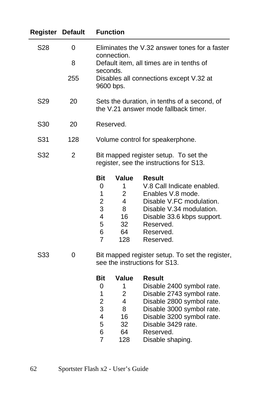| <b>Register Default</b> |                | <b>Function</b>                                                                                                      |                                                                              |                                                                                                                                                                                               |  |
|-------------------------|----------------|----------------------------------------------------------------------------------------------------------------------|------------------------------------------------------------------------------|-----------------------------------------------------------------------------------------------------------------------------------------------------------------------------------------------|--|
| S28                     | 0              | Eliminates the V.32 answer tones for a faster<br>connection.<br>Default item, all times are in tenths of<br>seconds. |                                                                              |                                                                                                                                                                                               |  |
|                         | 8              |                                                                                                                      |                                                                              |                                                                                                                                                                                               |  |
|                         | 255            |                                                                                                                      | 9600 bps.                                                                    | Disables all connections except V.32 at                                                                                                                                                       |  |
| S <sub>29</sub>         | 20             | Sets the duration, in tenths of a second, of<br>the V.21 answer mode fallback timer.                                 |                                                                              |                                                                                                                                                                                               |  |
| S30                     | 20             | Reserved.                                                                                                            |                                                                              |                                                                                                                                                                                               |  |
| S31                     | 128            | Volume control for speakerphone.                                                                                     |                                                                              |                                                                                                                                                                                               |  |
| S32                     | $\overline{2}$ | Bit mapped register setup. To set the<br>register, see the instructions for S13.                                     |                                                                              |                                                                                                                                                                                               |  |
|                         |                | Bit<br>0<br>1<br>$\overline{2}$<br>3<br>4<br>5<br>6<br>$\overline{7}$                                                | Value<br>1<br>$\overline{2}$<br>$\overline{4}$<br>8<br>16<br>32<br>64<br>128 | <b>Result</b><br>V.8 Call Indicate enabled.<br>Enables V.8 mode.<br>Disable V.FC modulation.<br>Disable V.34 modulation.<br>Disable 33.6 kbps support.<br>Reserved.<br>Reserved.<br>Reserved. |  |
| S33                     | 0              | Bit mapped register setup. To set the register,<br>see the instructions for S13.                                     |                                                                              |                                                                                                                                                                                               |  |
|                         |                | Bit                                                                                                                  | <b>Value</b>                                                                 | Result                                                                                                                                                                                        |  |
|                         |                | 0                                                                                                                    | 1                                                                            | Disable 2400 symbol rate.                                                                                                                                                                     |  |
|                         |                | 1                                                                                                                    | $\overline{2}$                                                               | Disable 2743 symbol rate.                                                                                                                                                                     |  |
|                         |                | 2                                                                                                                    | 4                                                                            | Disable 2800 symbol rate.                                                                                                                                                                     |  |
|                         |                | 3                                                                                                                    | 8                                                                            | Disable 3000 symbol rate.                                                                                                                                                                     |  |
|                         |                | 4                                                                                                                    | 16                                                                           | Disable 3200 symbol rate.                                                                                                                                                                     |  |
|                         |                | 5                                                                                                                    | 32                                                                           | Disable 3429 rate.                                                                                                                                                                            |  |
|                         |                | 6                                                                                                                    | 64                                                                           | Reserved.                                                                                                                                                                                     |  |
|                         |                | $\overline{7}$                                                                                                       | 128                                                                          | Disable shaping.                                                                                                                                                                              |  |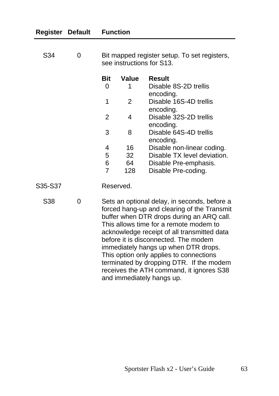| Register | <b>Default</b> | <b>Function</b>                                                                                                                                                                                                                                                                                                                                                                                                                                                                   |           |                                     |
|----------|----------------|-----------------------------------------------------------------------------------------------------------------------------------------------------------------------------------------------------------------------------------------------------------------------------------------------------------------------------------------------------------------------------------------------------------------------------------------------------------------------------------|-----------|-------------------------------------|
| S34      | 0              | Bit mapped register setup. To set registers,<br>see instructions for S13.                                                                                                                                                                                                                                                                                                                                                                                                         |           |                                     |
|          |                | <b>Bit</b>                                                                                                                                                                                                                                                                                                                                                                                                                                                                        | Value     | <b>Result</b>                       |
|          |                | 0                                                                                                                                                                                                                                                                                                                                                                                                                                                                                 | 1         | Disable 8S-2D trellis<br>encoding.  |
|          |                | 1                                                                                                                                                                                                                                                                                                                                                                                                                                                                                 | 2         | Disable 16S-4D trellis<br>encoding. |
|          |                | $\overline{2}$                                                                                                                                                                                                                                                                                                                                                                                                                                                                    | 4         | Disable 32S-2D trellis<br>encoding. |
|          |                | 3                                                                                                                                                                                                                                                                                                                                                                                                                                                                                 | 8         | Disable 64S-4D trellis<br>encoding. |
|          |                | 4                                                                                                                                                                                                                                                                                                                                                                                                                                                                                 | 16        | Disable non-linear coding.          |
|          |                | 5                                                                                                                                                                                                                                                                                                                                                                                                                                                                                 | 32        | Disable TX level deviation.         |
|          |                | 6                                                                                                                                                                                                                                                                                                                                                                                                                                                                                 | 64        | Disable Pre-emphasis.               |
|          |                | $\overline{7}$                                                                                                                                                                                                                                                                                                                                                                                                                                                                    | 128       | Disable Pre-coding.                 |
| S35-S37  |                |                                                                                                                                                                                                                                                                                                                                                                                                                                                                                   | Reserved. |                                     |
| S38      | 0              | Sets an optional delay, in seconds, before a<br>forced hang-up and clearing of the Transmit<br>buffer when DTR drops during an ARQ call.<br>This allows time for a remote modem to<br>acknowledge receipt of all transmitted data<br>before it is disconnected. The modem<br>immediately hangs up when DTR drops.<br>This option only applies to connections<br>terminated by dropping DTR. If the modem<br>receives the ATH command, it ignores S38<br>and immediately hangs up. |           |                                     |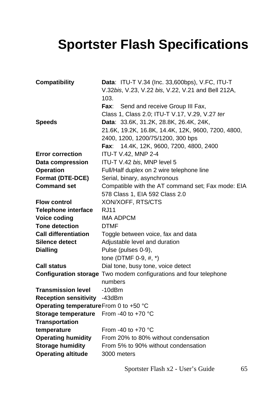# <span id="page-68-0"></span>**Sportster Flash Specifications**

| <b>Compatibility</b>                  | Data: ITU-T V.34 (Inc. 33,600bps), V.FC, ITU-T                           |
|---------------------------------------|--------------------------------------------------------------------------|
|                                       | V.32bis, V.23, V.22 bis, V.22, V.21 and Bell 212A,                       |
|                                       | 103.                                                                     |
|                                       | Send and receive Group III Fax,<br>Fax:                                  |
|                                       | Class 1, Class 2.0; ITU-T V.17, V.29, V.27 ter                           |
| <b>Speeds</b>                         | Data: 33.6K, 31.2K, 28.8K, 26.4K, 24K,                                   |
|                                       | 21.6K, 19.2K, 16.8K, 14.4K, 12K, 9600, 7200, 4800,                       |
|                                       | 2400, 1200, 1200/75/1200, 300 bps                                        |
|                                       | 14.4K, 12K, 9600, 7200, 4800, 2400<br>Fax:                               |
| <b>Error correction</b>               | ITU-T V.42, MNP 2-4                                                      |
| Data compression                      | ITU-T V.42 bis, MNP level 5                                              |
| <b>Operation</b>                      | Full/Half duplex on 2 wire telephone line                                |
| <b>Format (DTE-DCE)</b>               | Serial, binary, asynchronous                                             |
| <b>Command set</b>                    | Compatible with the AT command set; Fax mode: EIA                        |
|                                       | 578 Class 1, EIA 592 Class 2.0                                           |
| <b>Flow control</b>                   | XON/XOFF, RTS/CTS                                                        |
| <b>Telephone interface</b>            | <b>RJ11</b>                                                              |
| <b>Voice coding</b>                   | <b>IMA ADPCM</b>                                                         |
| <b>Tone detection</b>                 | <b>DTMF</b>                                                              |
| <b>Call differentiation</b>           | Toggle between voice, fax and data                                       |
| Silence detect                        | Adjustable level and duration                                            |
| <b>Dialling</b>                       | Pulse (pulses 0-9),                                                      |
|                                       | tone (DTMF 0-9, #, *)                                                    |
| Call status                           | Dial tone, busy tone, voice detect                                       |
|                                       | <b>Configuration storage</b> Two modem configurations and four telephone |
|                                       | numbers                                                                  |
| <b>Transmission level</b>             | $-10$ d $Bm$                                                             |
| <b>Reception sensitivity</b>          | -43dBm                                                                   |
| Operating temperatureFrom 0 to +50 °C |                                                                          |
| Storage temperature                   | From -40 to +70 $^{\circ}$ C                                             |
| <b>Transportation</b>                 |                                                                          |
| temperature                           | From -40 to $+70$ °C                                                     |
| <b>Operating humidity</b>             | From 20% to 80% without condensation                                     |
| <b>Storage humidity</b>               | From 5% to 90% without condensation                                      |
| <b>Operating altitude</b>             | 3000 meters                                                              |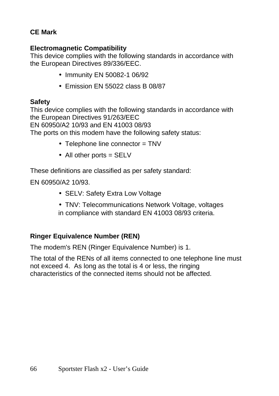#### <span id="page-69-0"></span>**CE Mark**

#### **Electromagnetic Compatibility**

This device complies with the following standards in accordance with the European Directives 89/336/EEC.

- Immunity EN 50082-1 06/92
- Emission EN 55022 class B 08/87

#### **Safety**

This device complies with the following standards in accordance with the European Directives 91/263/EEC EN 60950/A2 10/93 and EN 41003 08/93 The ports on this modem have the following safety status:

- Telephone line connector = TNV
- All other ports  $=$  SELV

These definitions are classified as per safety standard:

EN 60950/A2 10/93.

- SELV: Safety Extra Low Voltage
- TNV: Telecommunications Network Voltage, voltages in compliance with standard EN 41003 08/93 criteria.

#### **Ringer Equivalence Number (REN)**

The modem's REN (Ringer Equivalence Number) is 1.

The total of the RENs of all items connected to one telephone line must not exceed 4. As long as the total is 4 or less, the ringing characteristics of the connected items should not be affected.